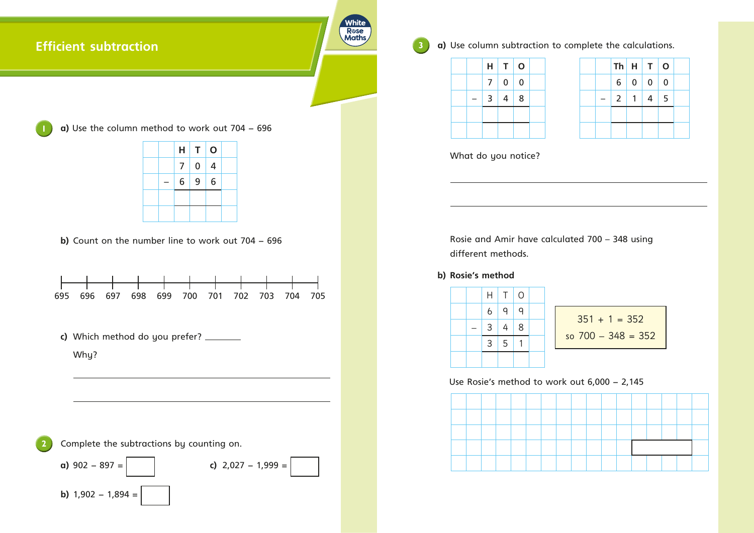## **Efficient subtraction**

R**ose**<br>Maths

White

 Why?

Complete the subtractions by counting on.





**3 a)** Use column subtraction to complete the calculations.

 $351 + 1 = 352$ so 700 – 348 = 352

What do you notice?

 Rosie and Amir have calculated 700 – 348 using different methods.

## **b) Rosie's method**

Use Rosie's method to work out 6,000 − 2,145



**a)** Use the column method to work out 704 − 696

|  | H              | T              | $\mathbf O$    |  |
|--|----------------|----------------|----------------|--|
|  | 7 <sup>1</sup> | $\overline{0}$ | $\overline{4}$ |  |
|  | 6              | 9              | 6              |  |
|  |                |                |                |  |
|  |                |                |                |  |

**b)** Count on the number line to work out 704 - 696



|  |                | $Th$ $H$       | T        | $\mathbf O$ |  |
|--|----------------|----------------|----------|-------------|--|
|  | 6 <sup>1</sup> | 0 <sup>1</sup> | $\bf{0}$ | $\mathbf 0$ |  |
|  | $\overline{2}$ |                | 4        | 5           |  |
|  |                |                |          |             |  |
|  |                |                |          |             |  |



c) Which method do you prefer? \_\_\_\_\_\_\_\_\_

|  | Н              | T <sup>1</sup> | $\bigcirc$ |  |
|--|----------------|----------------|------------|--|
|  | 6              | 9              | 9          |  |
|  | 3 <sup>1</sup> | 4 <sup>1</sup> | 8          |  |
|  | $\mathbf{3}$   | 5              |            |  |
|  |                |                |            |  |